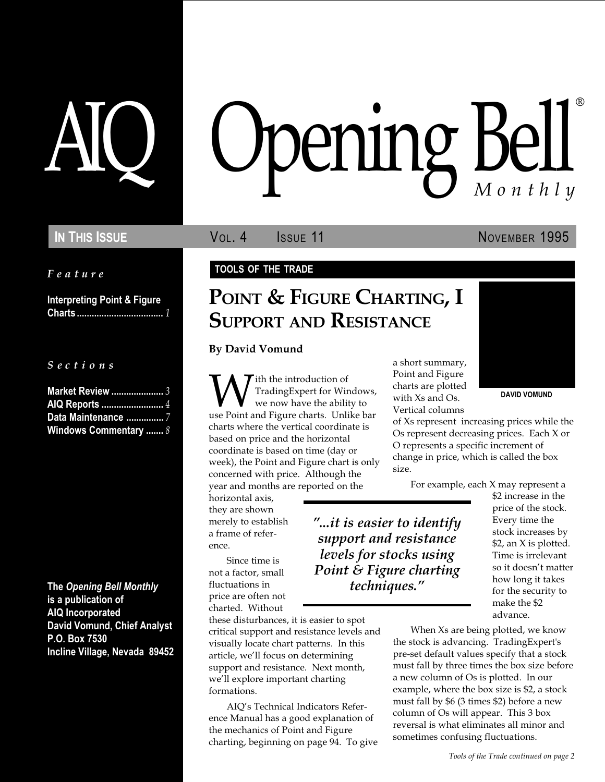Feature

Interpreting Point & Figure Charts ................................... 1

S e c t i o n s

| <b>Market Review </b> 3      |  |
|------------------------------|--|
| AIQ Reports  4               |  |
| Data Maintenance  7          |  |
| <b>Windows Commentary  8</b> |  |

The Opening Bell Monthly is a publication of AIQ Incorporated David Vomund, Chief Analyst P.O. Box 7530 Incline Village, Nevada 89452

# pening Bel Monthly ®

In This Issue **Vol. 4** Issue 11 November 1995

### TOOLS OF THE TRADE

# POINT & FIGURE CHARTING, I **SUPPORT AND RESISTANCE**

By David Vomund

We now have the ability to<br>
we point and Figure charts are plotted<br>
with Xs and Os.<br>
We now have the ability to<br>
we point and Figure charts. Unlike bar<br>
Vertical columns ith the introduction of TradingExpert for Windows, we now have the ability to use Point and Figure charts. Unlike bar charts where the vertical coordinate is based on price and the horizontal coordinate is based on time (day or week), the Point and Figure chart is only concerned with price. Although the year and months are reported on the

horizontal axis, they are shown merely to establish a frame of reference.

Since time is not a factor, small fluctuations in price are often not charted. Without

these disturbances, it is easier to spot critical support and resistance levels and visually locate chart patterns. In this article, we'll focus on determining support and resistance. Next month, we'll explore important charting formations.

AIO's Technical Indicators Reference Manual has a good explanation of the mechanics of Point and Figure charting, beginning on page 94. To give a short summary, Point and Figure charts are plotted with Xs and Os. Vertical columns



of Xs represent increasing prices while the Os represent decreasing prices. Each X or O represents a specific increment of change in price, which is called the box size.

For example, each X may represent a

...it is easier to identify support and resistance levels for stocks using Point & Figure charting techniques.

\$2 increase in the price of the stock. Every time the stock increases by \$2, an X is plotted. Time is irrelevant so it doesn't matter how long it takes for the security to make the \$2 advance.

When Xs are being plotted, we know the stock is advancing. TradingExpert's pre-set default values specify that a stock must fall by three times the box size before a new column of Os is plotted. In our example, where the box size is \$2, a stock must fall by \$6 (3 times \$2) before a new column of Os will appear. This 3 box reversal is what eliminates all minor and sometimes confusing fluctuations.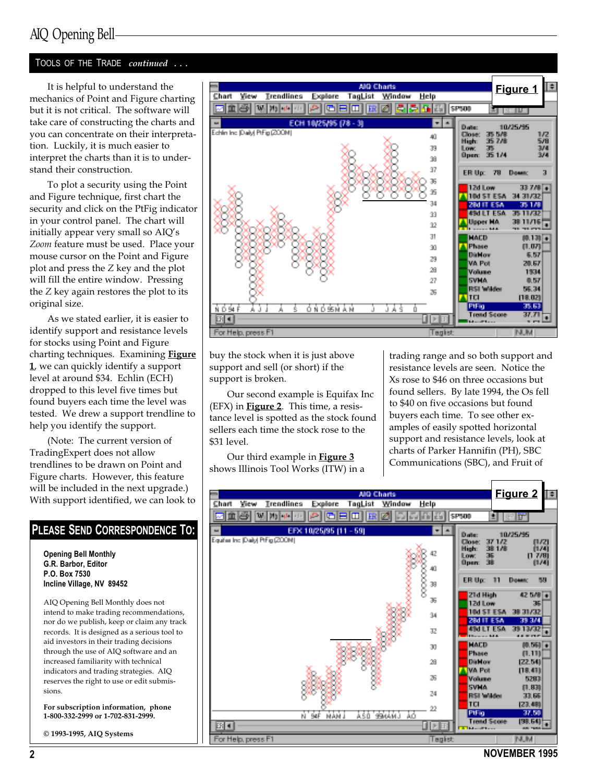### AIQ Opening Bell

### TOOLS OF THE TRADE continued ...

It is helpful to understand the mechanics of Point and Figure charting but it is not critical. The software will take care of constructing the charts and you can concentrate on their interpretation. Luckily, it is much easier to interpret the charts than it is to understand their construction.

To plot a security using the Point and Figure technique, first chart the security and click on the PtFig indicator in your control panel. The chart will initially appear very small so AIQ's Zoom feature must be used. Place your mouse cursor on the Point and Figure plot and press the Z key and the plot will fill the entire window. Pressing the Z key again restores the plot to its original size.

As we stated earlier, it is easier to identify support and resistance levels for stocks using Point and Figure charting techniques. Examining Figure 1, we can quickly identify a support level at around \$34. Echlin (ECH) dropped to this level five times but found buyers each time the level was tested. We drew a support trendline to help you identify the support.

(Note: The current version of TradingExpert does not allow trendlines to be drawn on Point and Figure charts. However, this feature will be included in the next upgrade.) With support identified, we can look to

### PLEASE SEND CORRESPONDENCE TO:

Opening Bell Monthly G.R. Barbor, Editor P.O. Box 7530 Incline Village, NV 89452

AIQ Opening Bell Monthly does not intend to make trading recommendations, nor do we publish, keep or claim any track records. It is designed as a serious tool to aid investors in their trading decisions through the use of AIQ software and an increased familiarity with technical indicators and trading strategies. AIQ reserves the right to use or edit submissions.

For subscription information, phone 1-800-332-2999 or 1-702-831-2999.

© 1993-1995, AIQ Systems



buy the stock when it is just above support and sell (or short) if the support is broken.

Our second example is Equifax Inc  $(EFX)$  in **Figure 2**. This time, a resistance level is spotted as the stock found sellers each time the stock rose to the \$31 level.

Our third example in Figure 3 shows Illinois Tool Works (ITW) in a trading range and so both support and resistance levels are seen. Notice the Xs rose to \$46 on three occasions but found sellers. By late 1994, the Os fell to \$40 on five occasions but found buyers each time. To see other examples of easily spotted horizontal support and resistance levels, look at charts of Parker Hannifin (PH), SBC Communications (SBC), and Fruit of

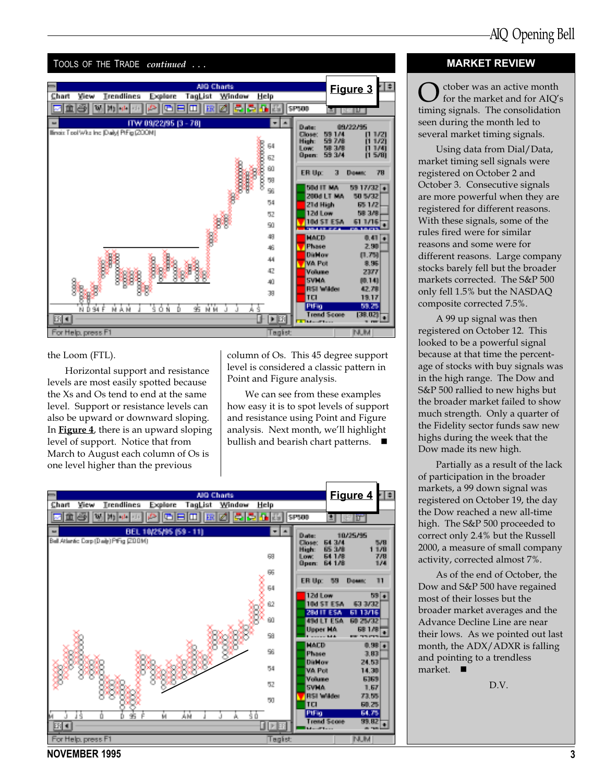

#### the Loom (FTL).

Horizontal support and resistance levels are most easily spotted because the Xs and Os tend to end at the same level. Support or resistance levels can also be upward or downward sloping. In Figure 4, there is an upward sloping level of support. Notice that from March to August each column of Os is one level higher than the previous

column of Os. This 45 degree support level is considered a classic pattern in Point and Figure analysis.

We can see from these examples how easy it is to spot levels of support and resistance using Point and Figure analysis. Next month, we'll highlight bullish and bearish chart patterns.  $\blacksquare$ 



### MARKET REVIEW

 $\sum$  ctober was an active month<br>for the market and for AIQ's timing signals. The consolidation seen during the month led to several market timing signals.

Using data from Dial/Data, market timing sell signals were registered on October 2 and October 3. Consecutive signals are more powerful when they are registered for different reasons. With these signals, some of the rules fired were for similar reasons and some were for different reasons. Large company stocks barely fell but the broader markets corrected. The S&P 500 only fell 1.5% but the NASDAQ composite corrected 7.5%.

A 99 up signal was then registered on October 12. This looked to be a powerful signal because at that time the percentage of stocks with buy signals was in the high range. The Dow and S&P 500 rallied to new highs but the broader market failed to show much strength. Only a quarter of the Fidelity sector funds saw new highs during the week that the Dow made its new high.

Partially as a result of the lack of participation in the broader markets, a 99 down signal was registered on October 19, the day the Dow reached a new all-time high. The S&P 500 proceeded to correct only 2.4% but the Russell 2000, a measure of small company activity, corrected almost 7%.

As of the end of October, the Dow and S&P 500 have regained most of their losses but the broader market averages and the Advance Decline Line are near their lows. As we pointed out last month, the ADX/ADXR is falling and pointing to a trendless market.

D.V.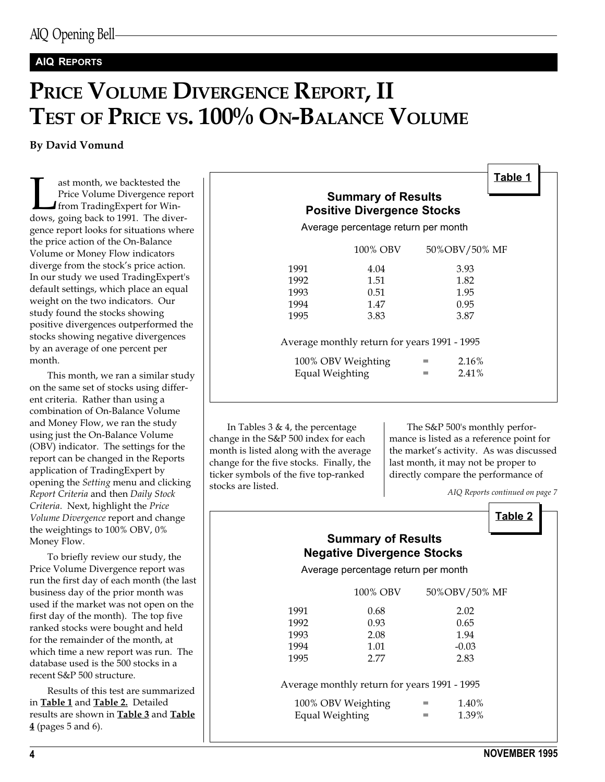### AIQ REPORTS

# PRICE VOLUME DIVERGENCE REPORT, II TEST OF PRICE VS. 100% ON-BALANCE VOLUME

By David Vomund

ast month, we backtested the<br>Price Volume Divergence repo<br>from TradingExpert for Win-<br>dows, going back to 1991. The diver-Price Volume Divergence report from TradingExpert for Wingence report looks for situations where the price action of the On-Balance Volume or Money Flow indicators diverge from the stock's price action. In our study we used TradingExpert's default settings, which place an equal weight on the two indicators. Our study found the stocks showing positive divergences outperformed the stocks showing negative divergences by an average of one percent per month.

This month, we ran a similar study on the same set of stocks using different criteria. Rather than using a combination of On-Balance Volume and Money Flow, we ran the study using just the On-Balance Volume (OBV) indicator. The settings for the report can be changed in the Reports application of TradingExpert by opening the Setting menu and clicking Report Criteria and then Daily Stock Criteria. Next, highlight the Price Volume Divergence report and change the weightings to 100% OBV, 0% Money Flow.

To briefly review our study, the Price Volume Divergence report was run the first day of each month (the last business day of the prior month was used if the market was not open on the first day of the month). The top five ranked stocks were bought and held for the remainder of the month, at which time a new report was run. The database used is the 500 stocks in a recent S&P 500 structure.

Results of this test are summarized in Table 1 and Table 2. Detailed results are shown in Table 3 and Table 4 (pages 5 and 6).

| Table 1<br><b>Summary of Results</b><br><b>Positive Divergence Stocks</b><br>Average percentage return per month |                                    |               |  |  |  |  |
|------------------------------------------------------------------------------------------------------------------|------------------------------------|---------------|--|--|--|--|
|                                                                                                                  | 100% OBV                           | 50%OBV/50% MF |  |  |  |  |
| 1991                                                                                                             | 4.04                               | 3.93          |  |  |  |  |
| 1992                                                                                                             | 1.51                               | 1.82          |  |  |  |  |
| 1993                                                                                                             | 0.51                               | 1.95          |  |  |  |  |
| 1994                                                                                                             | 1.47                               | 0.95          |  |  |  |  |
| 1995                                                                                                             | 3.83                               | 3.87          |  |  |  |  |
| Average monthly return for years 1991 - 1995                                                                     |                                    |               |  |  |  |  |
|                                                                                                                  | 2.16%<br>100% OBV Weighting<br>$=$ |               |  |  |  |  |
| Equal Weighting                                                                                                  |                                    | $2.41\%$<br>= |  |  |  |  |
|                                                                                                                  |                                    |               |  |  |  |  |

In Tables 3 & 4, the percentage change in the S&P 500 index for each month is listed along with the average change for the five stocks. Finally, the ticker symbols of the five top-ranked stocks are listed.

The S&P 500's monthly performance is listed as a reference point for the market's activity. As was discussed last month, it may not be proper to directly compare the performance of

AIQ Reports continued on page 7

### Table 2

### Summary of Results Negative Divergence Stocks

Average percentage return per month

|                      | 100% OBV                                                     |   | 50%OBV/50% MF        |
|----------------------|--------------------------------------------------------------|---|----------------------|
| 1991<br>1992<br>1993 | 0.68<br>0.93<br>2.08                                         |   | 2.02<br>0.65<br>1.94 |
| 1994<br>1995         | 1.01<br>2.77<br>Average monthly return for years 1991 - 1995 |   | $-0.03$<br>2.83      |
| Equal Weighting      | 100% OBV Weighting                                           | = | 1.40%<br>1.39%       |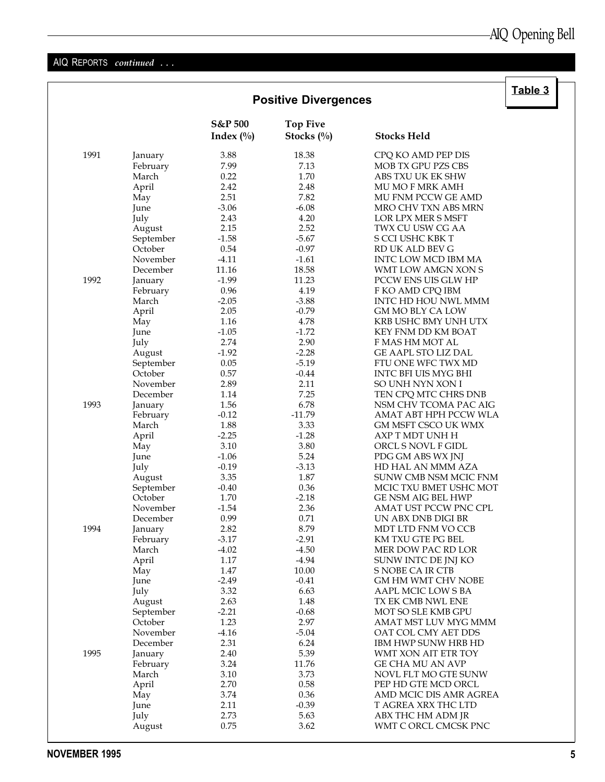### AIQ REPORTS continued ...

|      | <b>Positive Divergences</b> |                        |                                  | Table 3                   |  |
|------|-----------------------------|------------------------|----------------------------------|---------------------------|--|
|      |                             | S&P 500<br>Index $(\%$ | <b>Top Five</b><br>Stocks $(\%)$ | <b>Stocks Held</b>        |  |
| 1991 | January                     | 3.88                   | 18.38                            | CPQ KO AMD PEP DIS        |  |
|      | February                    | 7.99                   | 7.13                             | MOB TX GPU PZS CBS        |  |
|      | March                       | 0.22                   | 1.70                             | ABS TXU UK EK SHW         |  |
|      | April                       | 2.42                   | 2.48                             | MU MO F MRK AMH           |  |
|      | May                         | 2.51                   | 7.82                             | MU FNM PCCW GE AMD        |  |
|      | June                        | $-3.06$                | $-6.08$                          | MRO CHV TXN ABS MRN       |  |
|      | July                        | 2.43                   | 4.20                             | LOR LPX MER S MSFT        |  |
|      | August                      | 2.15                   | 2.52                             | TWX CU USW CG AA          |  |
|      | September                   | $-1.58$                | $-5.67$                          | S CCI USHC KBK T          |  |
|      | October                     | 0.54                   | $-0.97$                          | RD UK ALD BEV G           |  |
|      | November                    | $-4.11$                | $-1.61$                          | INTC LOW MCD IBM MA       |  |
|      | December                    | 11.16                  | 18.58                            | WMT LOW AMGN XON S        |  |
| 1992 | January                     | $-1.99$                | 11.23                            | PCCW ENS UIS GLW HP       |  |
|      | February                    | 0.96                   | 4.19                             | F KO AMD CPQ IBM          |  |
|      | March                       | $-2.05$                | $-3.88$                          | INTC HD HOU NWL MMM       |  |
|      | April                       | 2.05                   | $-0.79$                          | GM MO BLY CA LOW          |  |
|      | May                         | 1.16                   | 4.78                             | KRB USHC BMY UNH UTX      |  |
|      | June                        | $-1.05$                | $-1.72$                          | KEY FNM DD KM BOAT        |  |
|      | July                        | 2.74                   | 2.90                             | F MAS HM MOT AL           |  |
|      | August                      | $-1.92$                | $-2.28$                          | GE AAPL STO LIZ DAL       |  |
|      | September                   | 0.05                   | $-5.19$                          | FTU ONE WFC TWX MD        |  |
|      | October                     | 0.57                   | $-0.44$                          | INTC BFI UIS MYG BHI      |  |
|      | November                    | 2.89                   | 2.11                             | SO UNH NYN XON I          |  |
|      | December                    | 1.14                   | 7.25                             | TEN CPQ MTC CHRS DNB      |  |
| 1993 | January                     | 1.56                   | 6.78                             | NSM CHV TCOMA PAC AIG     |  |
|      | February                    | $-0.12$                | $-11.79$                         | AMAT ABT HPH PCCW WLA     |  |
|      | March                       | 1.88                   | 3.33                             | GM MSFT CSCO UK WMX       |  |
|      | April                       | $-2.25$                | $-1.28$                          | AXP T MDT UNH H           |  |
|      | May                         | 3.10                   | 3.80                             | ORCL S NOVL F GIDL        |  |
|      | June                        | $-1.06$                | 5.24                             | PDG GM ABS WX JNJ         |  |
|      | July                        | $-0.19$                | $-3.13$                          | HD HAL AN MMM AZA         |  |
|      | August                      | 3.35                   | 1.87                             | SUNW CMB NSM MCIC FNM     |  |
|      | September                   | $-0.40$                | 0.36                             | MCIC TXU BMET USHC MOT    |  |
|      | October                     | 1.70                   | $-2.18$                          | <b>GE NSM AIG BEL HWP</b> |  |
|      | November                    | $-1.54$                | 2.36                             | AMAT UST PCCW PNC CPL     |  |
|      | December                    | 0.99                   | $0.71\,$                         | UN ABX DNB DIGI BR        |  |
| 1994 | January                     | 2.82                   | 8.79                             | MDT LTD FNM VO CCB        |  |
|      | February                    | $-3.17$                | $-2.91$                          | KM TXU GTE PG BEL         |  |
|      | March                       | $-4.02$                | $-4.50$                          | MER DOW PAC RD LOR        |  |
|      | April                       | 1.17                   | $-4.94$                          | SUNW INTC DE JNJ KO       |  |
|      | May                         | 1.47                   | 10.00                            | S NOBE CA IR CTB          |  |
|      | June                        | $-2.49$                | $-0.41$                          | GM HM WMT CHV NOBE        |  |
|      | July                        | 3.32                   | 6.63                             | AAPL MCIC LOW S BA        |  |
|      | August                      | 2.63                   | 1.48                             | TX EK CMB NWL ENE         |  |
|      | September                   | $-2.21$                | $-0.68$                          | MOT SO SLE KMB GPU        |  |
|      | October                     | 1.23                   | 2.97                             | AMAT MST LUV MYG MMM      |  |
|      | November                    | $-4.16$                | $-5.04$                          | OAT COL CMY AET DDS       |  |
|      | December                    | 2.31                   | 6.24                             | IBM HWP SUNW HRB HD       |  |
| 1995 | January                     | 2.40                   | 5.39                             | WMT XON AIT ETR TOY       |  |
|      | February                    | 3.24                   | 11.76                            | GE CHA MU AN AVP          |  |
|      | March                       | 3.10                   | 3.73                             | NOVL FLT MO GTE SUNW      |  |
|      | April                       | 2.70                   | 0.58                             | PEP HD GTE MCD ORCL       |  |
|      | May                         | 3.74                   | 0.36                             | AMD MCIC DIS AMR AGREA    |  |
|      | June                        | 2.11                   | $-0.39$                          | T AGREA XRX THC LTD       |  |
|      | July                        | 2.73                   | 5.63                             | ABX THC HM ADM JR         |  |
|      | August                      | 0.75                   | 3.62                             | WMT C ORCL CMCSK PNC      |  |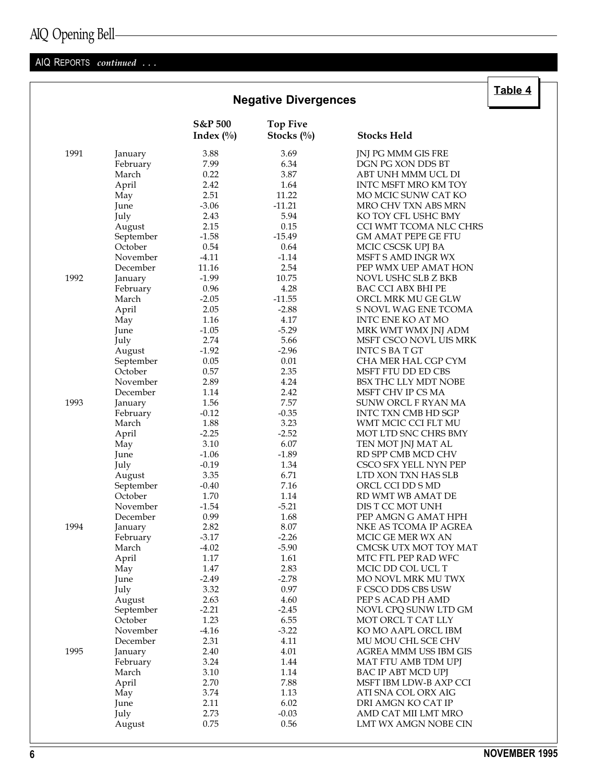## AIQ Opening Bell

### AIQ REPORTS continued ...

|      |           | <b>Negative Divergences</b>        |                               |                            | <u> Tanic +</u> |  |
|------|-----------|------------------------------------|-------------------------------|----------------------------|-----------------|--|
|      |           | <b>S&amp;P</b> 500<br>Index $(\%)$ | <b>Top Five</b><br>Stocks (%) | <b>Stocks Held</b>         |                 |  |
| 1991 | January   | 3.88                               | 3.69                          | JNJ PG MMM GIS FRE         |                 |  |
|      | February  | 7.99                               | 6.34                          | DGN PG XON DDS BT          |                 |  |
|      | March     | 0.22                               | 3.87                          | ABT UNH MMM UCL DI         |                 |  |
|      | April     | 2.42                               | 1.64                          | INTC MSFT MRO KM TOY       |                 |  |
|      | May       | 2.51                               | 11.22                         | MO MCIC SUNW CAT KO        |                 |  |
|      | June      | $-3.06$                            | $-11.21$                      | MRO CHV TXN ABS MRN        |                 |  |
|      | July      | 2.43                               | 5.94                          | KO TOY CFL USHC BMY        |                 |  |
|      | August    | 2.15                               | 0.15                          | CCI WMT TCOMA NLC CHRS     |                 |  |
|      | September | $-1.58$                            | $-15.49$                      | <b>GM AMAT PEPE GE FTU</b> |                 |  |
|      | October   | 0.54                               | 0.64                          | MCIC CSCSK UPJ BA          |                 |  |
|      | November  | $-4.11$                            | $-1.14$                       | MSFT S AMD INGR WX         |                 |  |
|      | December  | 11.16                              | 2.54                          | PEP WMX UEP AMAT HON       |                 |  |
| 1992 | January   | $-1.99$                            | 10.75                         | NOVL USHC SLB Z BKB        |                 |  |
|      | February  | 0.96                               | 4.28                          | BAC CCI ABX BHI PE         |                 |  |
|      | March     | $-2.05$                            | $-11.55$                      | ORCL MRK MU GE GLW         |                 |  |
|      | April     | 2.05                               | $-2.88$                       | S NOVL WAG ENE TCOMA       |                 |  |
|      | May       | 1.16                               | 4.17                          | INTC ENE KO AT MO          |                 |  |
|      | June      | $-1.05$                            | $-5.29$                       | MRK WMT WMX JNJ ADM        |                 |  |
|      | July      | 2.74                               | 5.66                          | MSFT CSCO NOVL UIS MRK     |                 |  |
|      | August    | $-1.92$                            | $-2.96$                       | <b>INTC S BA T GT</b>      |                 |  |
|      | September | 0.05                               | 0.01                          | CHA MER HAL CGP CYM        |                 |  |
|      | October   | 0.57                               | 2.35                          | MSFT FTU DD ED CBS         |                 |  |
|      | November  | 2.89                               | 4.24                          | BSX THC LLY MDT NOBE       |                 |  |
|      | December  | 1.14                               | 2.42                          | MSFT CHV IP CS MA          |                 |  |
| 1993 | January   | 1.56                               | 7.57                          | SUNW ORCL F RYAN MA        |                 |  |
|      | February  | $-0.12$                            | $-0.35$                       | INTC TXN CMB HD SGP        |                 |  |
|      | March     | 1.88                               | 3.23                          | WMT MCIC CCI FLT MU        |                 |  |
|      | April     | $-2.25$                            | $-2.52$                       | MOT LTD SNC CHRS BMY       |                 |  |
|      | May       | 3.10                               | 6.07                          | TEN MOT JNJ MAT AL         |                 |  |
|      | June      | $-1.06$                            | $-1.89$                       | RD SPP CMB MCD CHV         |                 |  |
|      | July      | $-0.19$                            | 1.34                          | CSCO SFX YELL NYN PEP      |                 |  |
|      | August    | 3.35                               | 6.71                          | LTD XON TXN HAS SLB        |                 |  |
|      | September | $-0.40$                            | 7.16                          | ORCL CCI DD S MD           |                 |  |
|      | October   | 1.70                               | 1.14                          | RD WMT WB AMAT DE          |                 |  |
|      | November  | $-1.54$                            | $-5.21$                       | DIS T CC MOT UNH           |                 |  |
|      | December  | 0.99                               | 1.68                          | PEP AMGN G AMAT HPH        |                 |  |
| 1994 | January   | 2.82                               | 8.07                          | NKE AS TCOMA IP AGREA      |                 |  |
|      | February  | -3.17                              | $-2.26$                       | MCIC GE MER WX AN          |                 |  |
|      | March     | $-4.02$                            | $-5.90$                       | CMCSK UTX MOT TOY MAT      |                 |  |
|      | April     | 1.17                               | 1.61                          | MTC FTL PEP RAD WFC        |                 |  |
|      | May       | 1.47                               | 2.83                          | MCIC DD COL UCL T          |                 |  |
|      | June      | $-2.49$                            | $-2.78$                       | MO NOVL MRK MU TWX         |                 |  |
|      | July      | 3.32                               | $0.97\,$                      | F CSCO DDS CBS USW         |                 |  |
|      | August    | 2.63                               | 4.60                          | PEP S ACAD PH AMD          |                 |  |
|      | September | $-2.21$                            | $-2.45$                       | NOVL CPQ SUNW LTD GM       |                 |  |
|      | October   | 1.23                               | 6.55                          | MOT ORCL T CAT LLY         |                 |  |
|      | November  | $-4.16$                            | $-3.22$                       | KO MO AAPL ORCL IBM        |                 |  |
|      | December  | 2.31                               | 4.11                          | MU MOU CHL SCE CHV         |                 |  |
| 1995 | January   | 2.40                               | 4.01                          | AGREA MMM USS IBM GIS      |                 |  |
|      | February  | 3.24                               | 1.44                          | MAT FTU AMB TDM UPJ        |                 |  |
|      | March     | 3.10                               | 1.14                          | BAC IP ABT MCD UPJ         |                 |  |
|      | April     | 2.70                               | 7.88                          | MSFT IBM LDW-B AXP CCI     |                 |  |
|      | May       | 3.74                               | 1.13                          | ATI SNA COL ORX AIG        |                 |  |
|      | June      | 2.11                               | 6.02                          | DRI AMGN KO CAT IP         |                 |  |
|      | July      | 2.73                               | $-0.03$                       | AMD CAT MII LMT MRO        |                 |  |
|      | August    | 0.75                               | 0.56                          | LMT WX AMGN NOBE CIN       |                 |  |

 $\overline{\overline{\mathsf{Table 4}}}$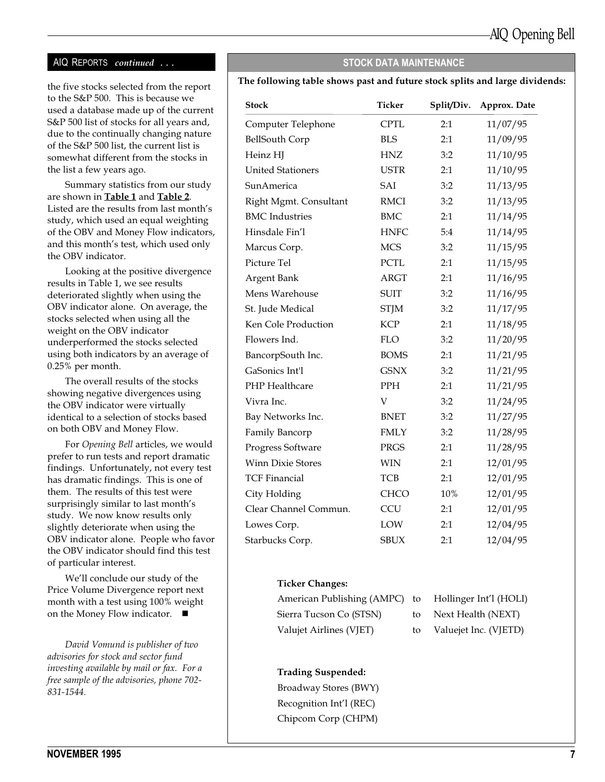### AIQ REPORTS continued ... STOCK DATA MAINTENANCE

to the S&P 500. This is because we used a database made up of the current S&P 500 list of stocks for all years and, due to the continually changing nature of the S&P 500 list, the current list is somewhat different from the stocks in the list a few years ago.

Summary statistics from our study are shown in Table 1 and Table 2. Listed are the results from last month's study, which used an equal weighting of the OBV and Money Flow indicators, and this month's test, which used only the OBV indicator.

Looking at the positive divergence results in Table 1, we see results deteriorated slightly when using the OBV indicator alone. On average, the stocks selected when using all the weight on the OBV indicator underperformed the stocks selected using both indicators by an average of 0.25% per month.

The overall results of the stocks showing negative divergences using the OBV indicator were virtually identical to a selection of stocks based on both OBV and Money Flow.

For Opening Bell articles, we would prefer to run tests and report dramatic findings. Unfortunately, not every test has dramatic findings. This is one of them. The results of this test were surprisingly similar to last month's study. We now know results only slightly deteriorate when using the OBV indicator alone. People who favor the OBV indicator should find this test of particular interest.

We'll conclude our study of the Price Volume Divergence report next month with a test using 100% weight on the Money Flow indicator.  $\blacksquare$ 

David Vomund is publisher of two advisories for stock and sector fund investing available by mail or fax. For a free sample of the advisories, phone 702- 831-1544.

### the five stocks selected from the report The following table shows past and future stock splits and large dividends:

| <b>Stock</b>             | <b>Ticker</b> | Split/Div. | Approx. Date |
|--------------------------|---------------|------------|--------------|
| Computer Telephone       | <b>CPTL</b>   | 2:1        | 11/07/95     |
| <b>BellSouth Corp</b>    | <b>BLS</b>    | 2:1        | 11/09/95     |
| Heinz HJ                 | <b>HNZ</b>    | 3:2        | 11/10/95     |
| <b>United Stationers</b> | <b>USTR</b>   | 2:1        | 11/10/95     |
| SunAmerica               | SAI           | 3:2        | 11/13/95     |
| Right Mgmt. Consultant   | <b>RMCI</b>   | 3:2        | 11/13/95     |
| <b>BMC</b> Industries    | <b>BMC</b>    | 2:1        | 11/14/95     |
| Hinsdale Fin'l           | <b>HNFC</b>   | 5:4        | 11/14/95     |
| Marcus Corp.             | <b>MCS</b>    | 3:2        | 11/15/95     |
| Picture Tel              | PCTL          | 2:1        | 11/15/95     |
| Argent Bank              | <b>ARGT</b>   | 2:1        | 11/16/95     |
| Mens Warehouse           | <b>SUIT</b>   | 3:2        | 11/16/95     |
| St. Jude Medical         | <b>STJM</b>   | 3:2        | 11/17/95     |
| Ken Cole Production      | <b>KCP</b>    | 2:1        | 11/18/95     |
| Flowers Ind.             | FLO           | 3:2        | 11/20/95     |
| BancorpSouth Inc.        | <b>BOMS</b>   | 2:1        | 11/21/95     |
| GaSonics Int'l           | <b>GSNX</b>   | 3:2        | 11/21/95     |
| PHP Healthcare           | <b>PPH</b>    | 2:1        | 11/21/95     |
| Vivra Inc.               | V             | 3:2        | 11/24/95     |
| Bay Networks Inc.        | <b>BNET</b>   | 3:2        | 11/27/95     |
| Family Bancorp           | <b>FMLY</b>   | 3:2        | 11/28/95     |
| Progress Software        | <b>PRGS</b>   | 2:1        | 11/28/95     |
| <b>Winn Dixie Stores</b> | <b>WIN</b>    | 2:1        | 12/01/95     |
| <b>TCF Financial</b>     | <b>TCB</b>    | 2:1        | 12/01/95     |
| City Holding             | <b>CHCO</b>   | 10%        | 12/01/95     |
| Clear Channel Commun.    | <b>CCU</b>    | 2:1        | 12/01/95     |
| Lowes Corp.              | LOW           | 2:1        | 12/04/95     |
| Starbucks Corp.          | <b>SBUX</b>   | 2:1        | 12/04/95     |

#### Ticker Changes:

| American Publishing (AMPC) to Hollinger Int'l (HOLI) |    |                       |
|------------------------------------------------------|----|-----------------------|
| Sierra Tucson Co (STSN)                              | to | Next Health (NEXT)    |
| Valujet Airlines (VJET)                              | to | Valuejet Inc. (VJETD) |

#### Trading Suspended:

Broadway Stores (BWY) Recognition Int'l (REC) Chipcom Corp (CHPM)